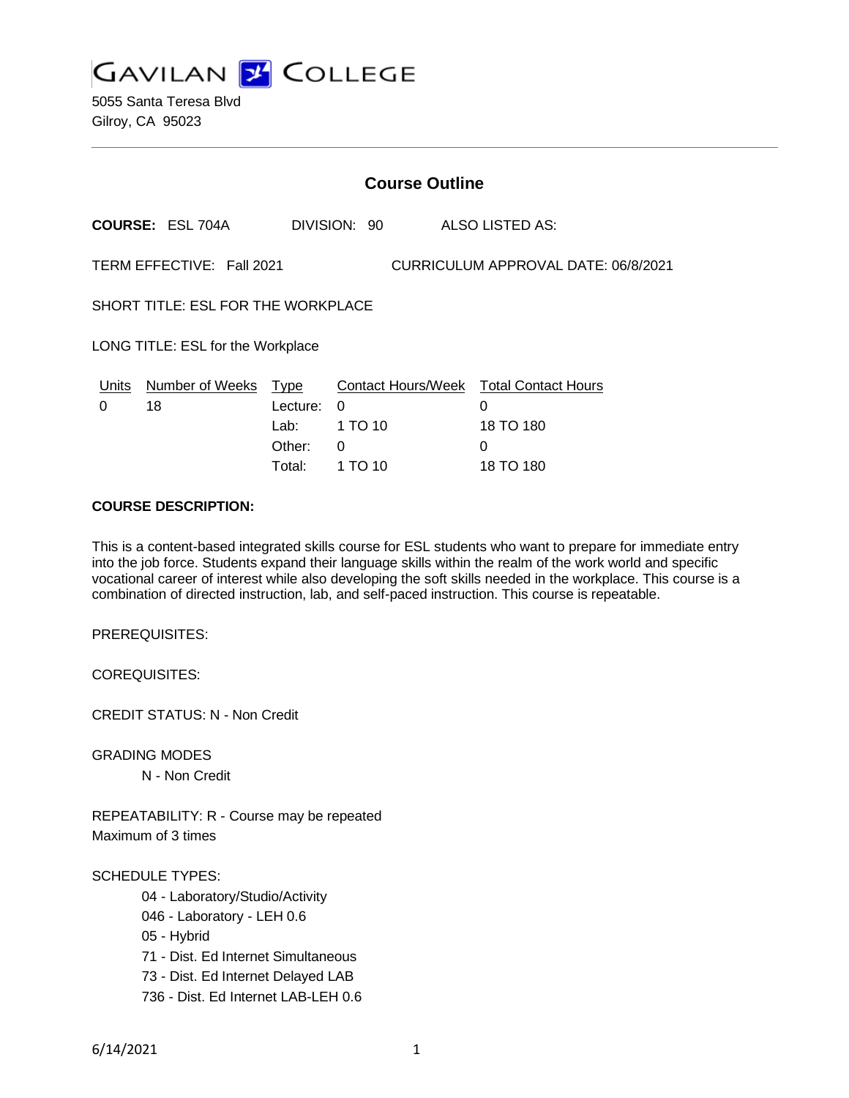

5055 Santa Teresa Blvd Gilroy, CA 95023

| <b>Course Outline</b>                                            |                         |             |              |                                        |
|------------------------------------------------------------------|-------------------------|-------------|--------------|----------------------------------------|
|                                                                  | <b>COURSE: ESL 704A</b> |             | DIVISION: 90 | <b>ALSO LISTED AS:</b>                 |
| TERM EFFECTIVE: Fall 2021<br>CURRICULUM APPROVAL DATE: 06/8/2021 |                         |             |              |                                        |
| SHORT TITLE: ESL FOR THE WORKPLACE                               |                         |             |              |                                        |
| LONG TITLE: ESL for the Workplace                                |                         |             |              |                                        |
| Units                                                            | <b>Number of Weeks</b>  | <u>Type</u> |              | Contact Hours/Week Total Contact Hours |
| 0                                                                | 18                      | Lecture:    | $\Omega$     | 0                                      |
|                                                                  |                         | Lab:        | 1 TO 10      | 18 TO 180                              |
|                                                                  |                         | Other:      | 0            | 0                                      |
|                                                                  |                         | Total:      | 1 TO 10      | 18 TO 180                              |

### **COURSE DESCRIPTION:**

This is a content-based integrated skills course for ESL students who want to prepare for immediate entry into the job force. Students expand their language skills within the realm of the work world and specific vocational career of interest while also developing the soft skills needed in the workplace. This course is a combination of directed instruction, lab, and self-paced instruction. This course is repeatable.

PREREQUISITES:

COREQUISITES:

CREDIT STATUS: N - Non Credit

GRADING MODES

N - Non Credit

REPEATABILITY: R - Course may be repeated Maximum of 3 times

#### SCHEDULE TYPES:

- 04 Laboratory/Studio/Activity
- 046 Laboratory LEH 0.6
- 05 Hybrid
- 71 Dist. Ed Internet Simultaneous
- 73 Dist. Ed Internet Delayed LAB
- 736 Dist. Ed Internet LAB-LEH 0.6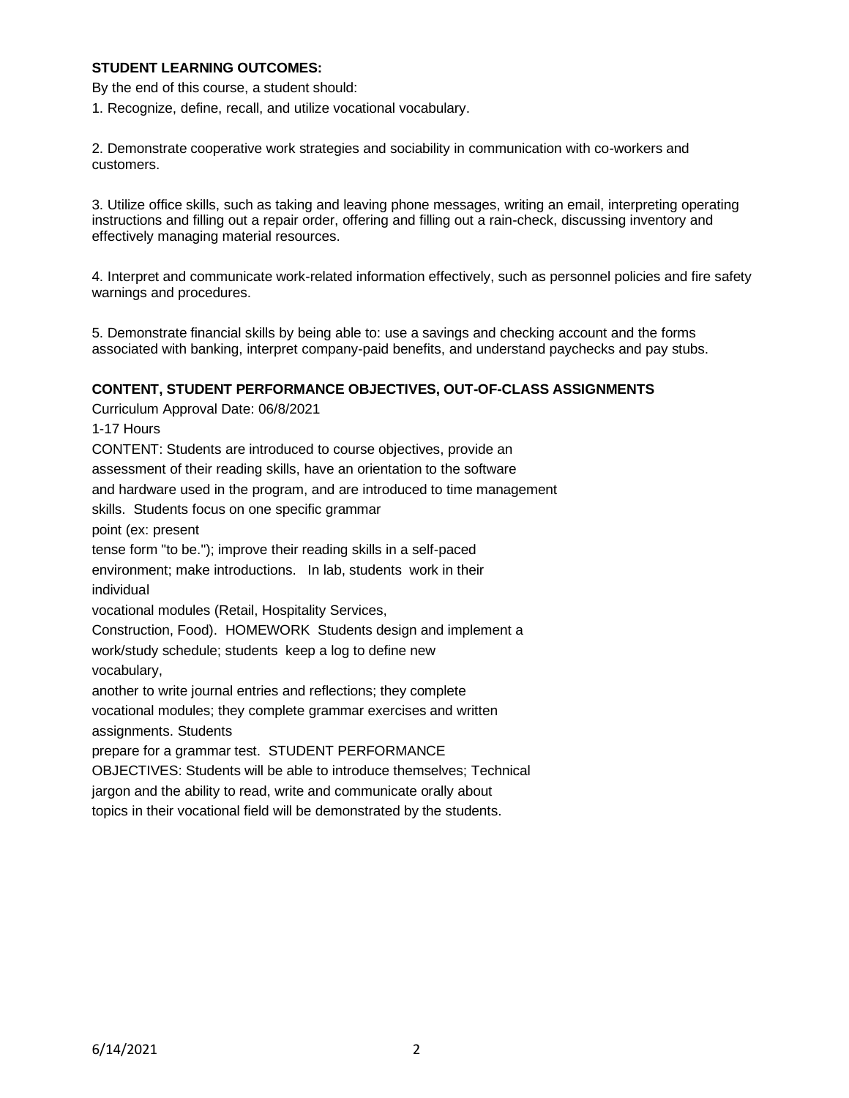# **STUDENT LEARNING OUTCOMES:**

By the end of this course, a student should:

1. Recognize, define, recall, and utilize vocational vocabulary.

2. Demonstrate cooperative work strategies and sociability in communication with co-workers and customers.

3. Utilize office skills, such as taking and leaving phone messages, writing an email, interpreting operating instructions and filling out a repair order, offering and filling out a rain-check, discussing inventory and effectively managing material resources.

4. Interpret and communicate work-related information effectively, such as personnel policies and fire safety warnings and procedures.

5. Demonstrate financial skills by being able to: use a savings and checking account and the forms associated with banking, interpret company-paid benefits, and understand paychecks and pay stubs.

### **CONTENT, STUDENT PERFORMANCE OBJECTIVES, OUT-OF-CLASS ASSIGNMENTS**

Curriculum Approval Date: 06/8/2021 1-17 Hours CONTENT: Students are introduced to course objectives, provide an assessment of their reading skills, have an orientation to the software and hardware used in the program, and are introduced to time management skills. Students focus on one specific grammar point (ex: present tense form "to be."); improve their reading skills in a self-paced environment; make introductions. In lab, students work in their individual vocational modules (Retail, Hospitality Services, Construction, Food). HOMEWORK Students design and implement a work/study schedule; students keep a log to define new vocabulary, another to write journal entries and reflections; they complete vocational modules; they complete grammar exercises and written assignments. Students prepare for a grammar test. STUDENT PERFORMANCE OBJECTIVES: Students will be able to introduce themselves; Technical jargon and the ability to read, write and communicate orally about topics in their vocational field will be demonstrated by the students.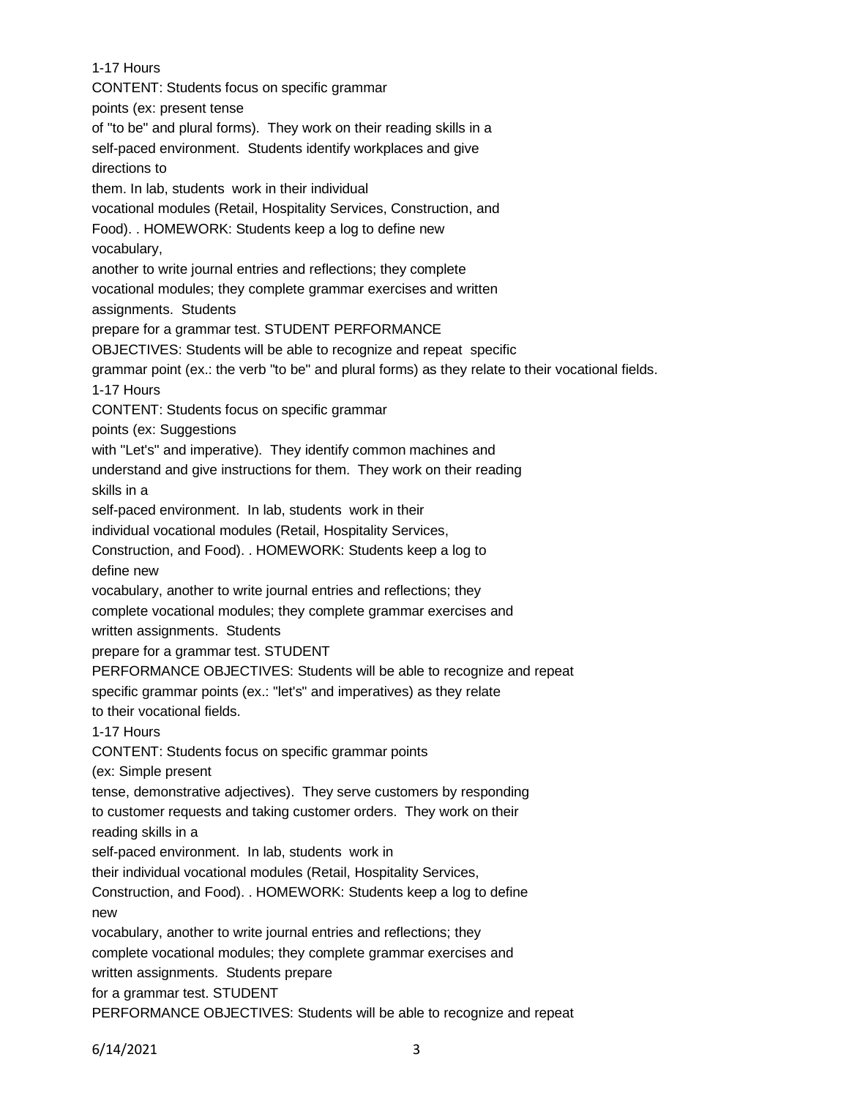1-17 Hours CONTENT: Students focus on specific grammar points (ex: present tense of "to be" and plural forms). They work on their reading skills in a self-paced environment. Students identify workplaces and give directions to them. In lab, students work in their individual vocational modules (Retail, Hospitality Services, Construction, and Food). . HOMEWORK: Students keep a log to define new vocabulary, another to write journal entries and reflections; they complete vocational modules; they complete grammar exercises and written assignments. Students prepare for a grammar test. STUDENT PERFORMANCE OBJECTIVES: Students will be able to recognize and repeat specific grammar point (ex.: the verb "to be" and plural forms) as they relate to their vocational fields. 1-17 Hours CONTENT: Students focus on specific grammar points (ex: Suggestions with "Let's" and imperative). They identify common machines and understand and give instructions for them. They work on their reading skills in a self-paced environment. In lab, students work in their individual vocational modules (Retail, Hospitality Services, Construction, and Food). . HOMEWORK: Students keep a log to define new vocabulary, another to write journal entries and reflections; they complete vocational modules; they complete grammar exercises and written assignments. Students prepare for a grammar test. STUDENT PERFORMANCE OBJECTIVES: Students will be able to recognize and repeat specific grammar points (ex.: "let's" and imperatives) as they relate to their vocational fields. 1-17 Hours CONTENT: Students focus on specific grammar points (ex: Simple present tense, demonstrative adjectives). They serve customers by responding to customer requests and taking customer orders. They work on their reading skills in a self-paced environment. In lab, students work in their individual vocational modules (Retail, Hospitality Services, Construction, and Food). . HOMEWORK: Students keep a log to define new vocabulary, another to write journal entries and reflections; they complete vocational modules; they complete grammar exercises and written assignments. Students prepare for a grammar test. STUDENT PERFORMANCE OBJECTIVES: Students will be able to recognize and repeat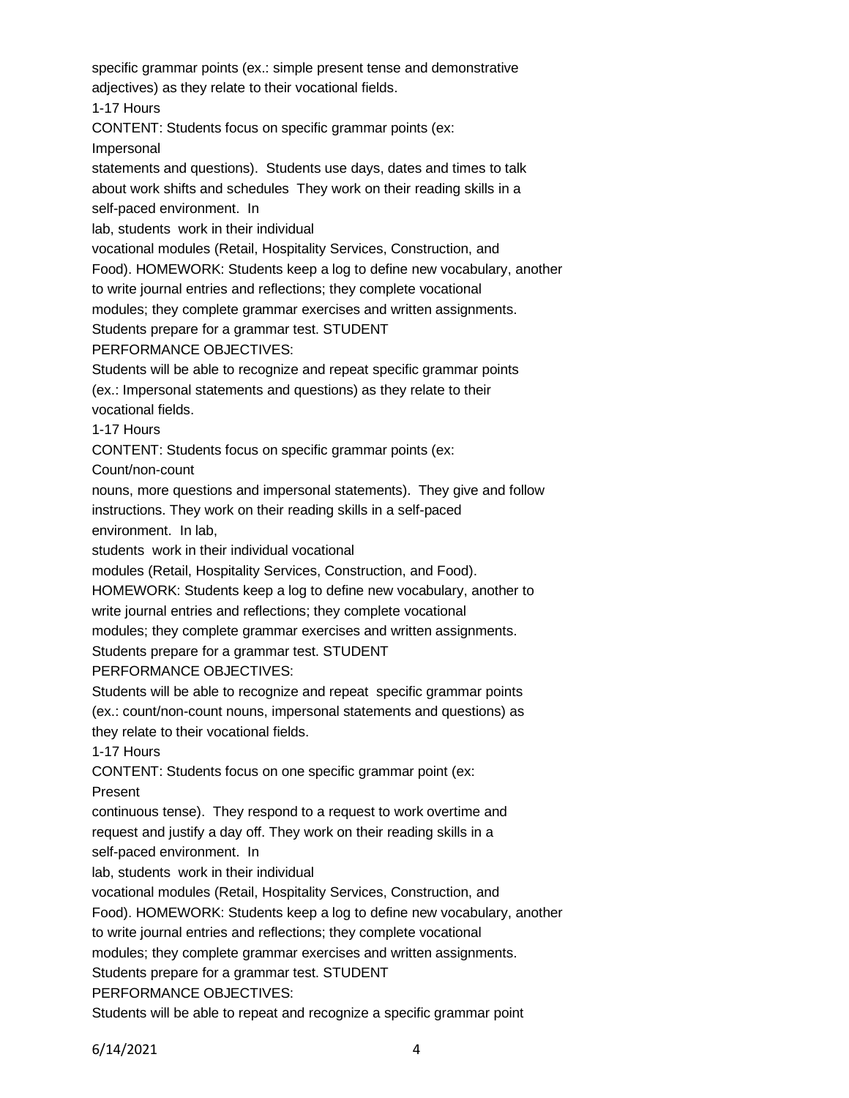specific grammar points (ex.: simple present tense and demonstrative adjectives) as they relate to their vocational fields. 1-17 Hours CONTENT: Students focus on specific grammar points (ex: Impersonal statements and questions). Students use days, dates and times to talk about work shifts and schedules They work on their reading skills in a self-paced environment. In lab, students work in their individual vocational modules (Retail, Hospitality Services, Construction, and Food). HOMEWORK: Students keep a log to define new vocabulary, another to write journal entries and reflections; they complete vocational modules; they complete grammar exercises and written assignments. Students prepare for a grammar test. STUDENT PERFORMANCE OBJECTIVES: Students will be able to recognize and repeat specific grammar points (ex.: Impersonal statements and questions) as they relate to their vocational fields. 1-17 Hours CONTENT: Students focus on specific grammar points (ex: Count/non-count nouns, more questions and impersonal statements). They give and follow instructions. They work on their reading skills in a self-paced environment. In lab, students work in their individual vocational modules (Retail, Hospitality Services, Construction, and Food). HOMEWORK: Students keep a log to define new vocabulary, another to write journal entries and reflections; they complete vocational modules; they complete grammar exercises and written assignments. Students prepare for a grammar test. STUDENT PERFORMANCE OBJECTIVES: Students will be able to recognize and repeat specific grammar points (ex.: count/non-count nouns, impersonal statements and questions) as they relate to their vocational fields. 1-17 Hours CONTENT: Students focus on one specific grammar point (ex: Present continuous tense). They respond to a request to work overtime and request and justify a day off. They work on their reading skills in a self-paced environment. In lab, students work in their individual vocational modules (Retail, Hospitality Services, Construction, and Food). HOMEWORK: Students keep a log to define new vocabulary, another to write journal entries and reflections; they complete vocational modules; they complete grammar exercises and written assignments. Students prepare for a grammar test. STUDENT PERFORMANCE OBJECTIVES:

Students will be able to repeat and recognize a specific grammar point

6/14/2021 4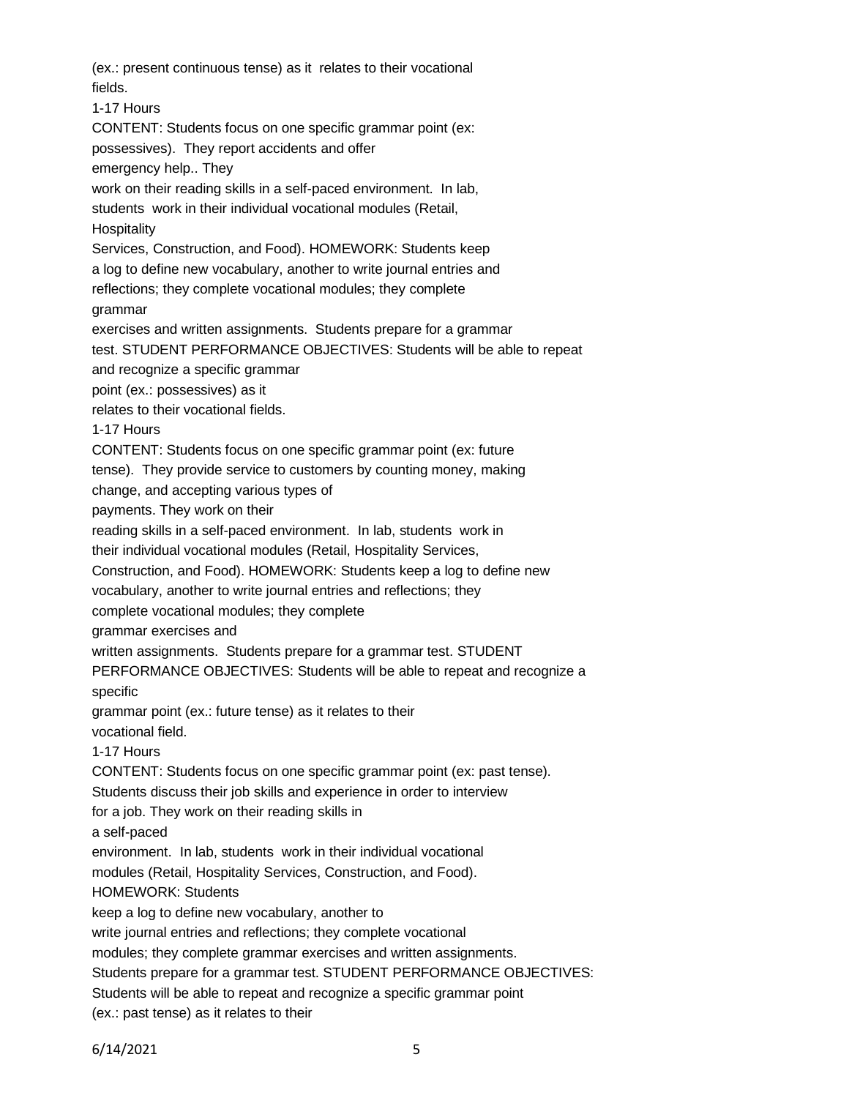(ex.: present continuous tense) as it relates to their vocational fields. 1-17 Hours CONTENT: Students focus on one specific grammar point (ex: possessives). They report accidents and offer emergency help.. They work on their reading skills in a self-paced environment. In lab, students work in their individual vocational modules (Retail, **Hospitality** Services, Construction, and Food). HOMEWORK: Students keep a log to define new vocabulary, another to write journal entries and reflections; they complete vocational modules; they complete grammar exercises and written assignments. Students prepare for a grammar test. STUDENT PERFORMANCE OBJECTIVES: Students will be able to repeat and recognize a specific grammar point (ex.: possessives) as it relates to their vocational fields. 1-17 Hours CONTENT: Students focus on one specific grammar point (ex: future tense). They provide service to customers by counting money, making change, and accepting various types of payments. They work on their reading skills in a self-paced environment. In lab, students work in their individual vocational modules (Retail, Hospitality Services, Construction, and Food). HOMEWORK: Students keep a log to define new vocabulary, another to write journal entries and reflections; they complete vocational modules; they complete grammar exercises and written assignments. Students prepare for a grammar test. STUDENT PERFORMANCE OBJECTIVES: Students will be able to repeat and recognize a specific grammar point (ex.: future tense) as it relates to their vocational field. 1-17 Hours CONTENT: Students focus on one specific grammar point (ex: past tense). Students discuss their job skills and experience in order to interview for a job. They work on their reading skills in a self-paced environment. In lab, students work in their individual vocational modules (Retail, Hospitality Services, Construction, and Food). HOMEWORK: Students keep a log to define new vocabulary, another to write journal entries and reflections; they complete vocational modules; they complete grammar exercises and written assignments. Students prepare for a grammar test. STUDENT PERFORMANCE OBJECTIVES: Students will be able to repeat and recognize a specific grammar point (ex.: past tense) as it relates to their